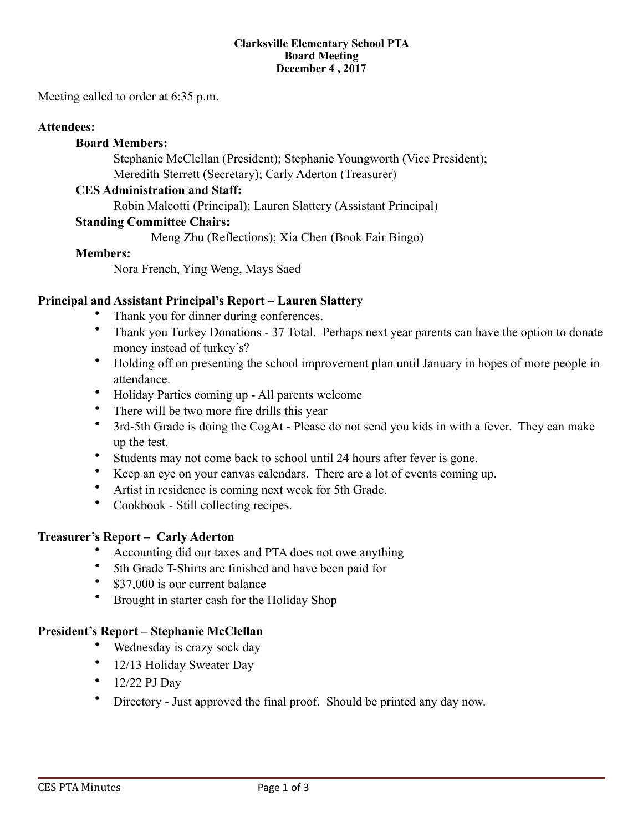#### **Clarksville Elementary School PTA Board Meeting December 4 , 2017**

Meeting called to order at 6:35 p.m.

### **Attendees:**

### **Board Members:**

 Stephanie McClellan (President); Stephanie Youngworth (Vice President); Meredith Sterrett (Secretary); Carly Aderton (Treasurer)

### **CES Administration and Staff:**

Robin Malcotti (Principal); Lauren Slattery (Assistant Principal)

### **Standing Committee Chairs:**

Meng Zhu (Reflections); Xia Chen (Book Fair Bingo)

### **Members:**

Nora French, Ying Weng, Mays Saed

### **Principal and Assistant Principal's Report – Lauren Slattery**

- Thank you for dinner during conferences.
- Thank you Turkey Donations 37 Total. Perhaps next year parents can have the option to donate money instead of turkey's?
- Holding off on presenting the school improvement plan until January in hopes of more people in attendance.
- Holiday Parties coming up All parents welcome
- There will be two more fire drills this year
- 3rd-5th Grade is doing the CogAt Please do not send you kids in with a fever. They can make up the test.
- Students may not come back to school until 24 hours after fever is gone.
- Keep an eye on your canvas calendars. There are a lot of events coming up.
- Artist in residence is coming next week for 5th Grade.
- Cookbook Still collecting recipes.

### **Treasurer's Report – Carly Aderton**

- Accounting did our taxes and PTA does not owe anything
- 5th Grade T-Shirts are finished and have been paid for
- \$37,000 is our current balance
- Brought in starter cash for the Holiday Shop

### **President's Report – Stephanie McClellan**

- Wednesday is crazy sock day
- 12/13 Holiday Sweater Day
- $\bullet$  12/22 PJ Day
- Directory Just approved the final proof. Should be printed any day now.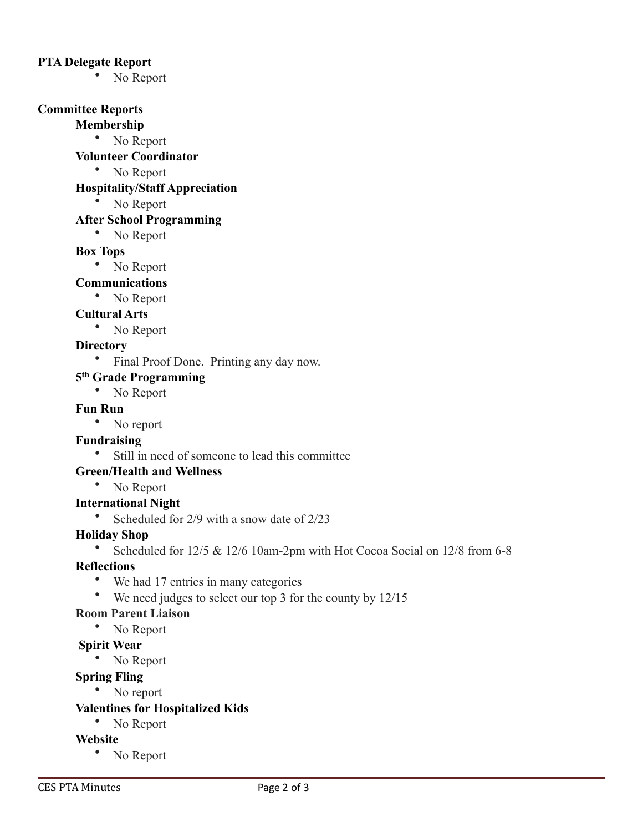### **PTA Delegate Report**

• No Report

## **Committee Reports**

### **Membership**

• No Report

## **Volunteer Coordinator**

• No Report

## **Hospitality/Staff Appreciation**

• No Report

## **After School Programming**

• No Report

## **Box Tops**

• No Report

# **Communications**

• No Report

## **Cultural Arts**

• No Report

## **Directory**

• Final Proof Done. Printing any day now.

# **5th Grade Programming**

• No Report

### **Fun Run**

• No report

# **Fundraising**

• Still in need of someone to lead this committee

# **Green/Health and Wellness**

• No Report

## **International Night**

• Scheduled for 2/9 with a snow date of 2/23

# **Holiday Shop**

• Scheduled for 12/5 & 12/6 10am-2pm with Hot Cocoa Social on 12/8 from 6-8

# **Reflections**

- We had 17 entries in many categories
- We need judges to select our top 3 for the county by 12/15

# **Room Parent Liaison**

• No Report

### **Spirit Wear**

• No Report

## **Spring Fling**

• No report

### **Valentines for Hospitalized Kids**

• No Report

# **Website**

• No Report